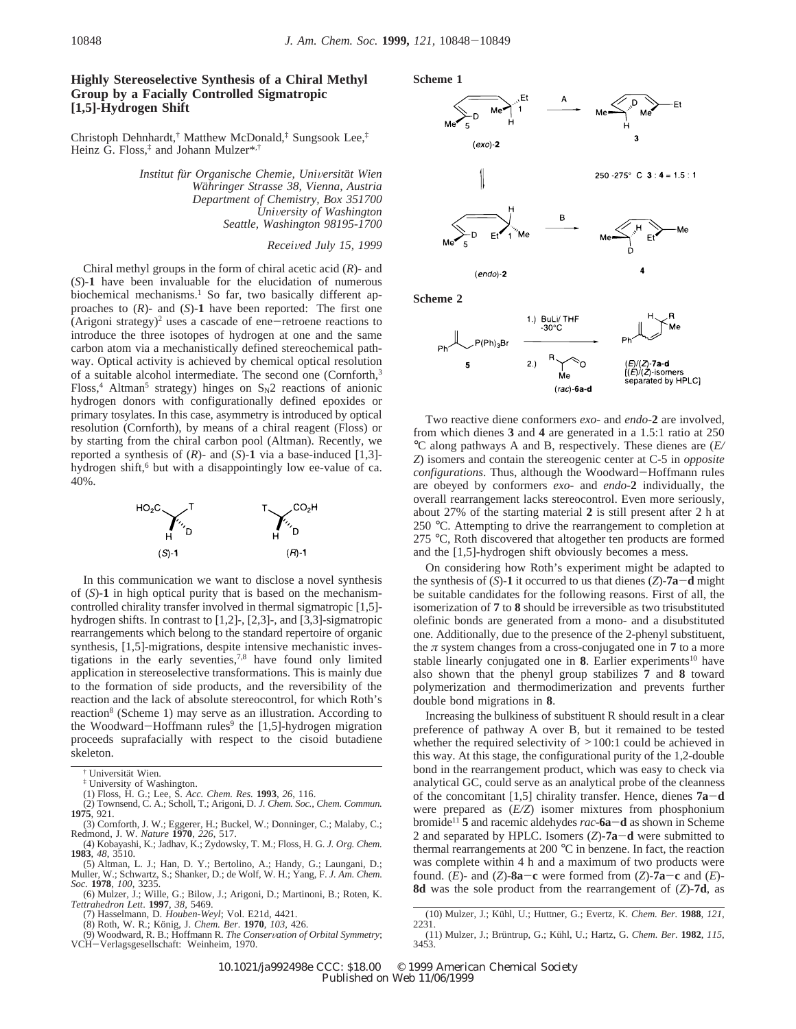## **Highly Stereoselective Synthesis of a Chiral Methyl Group by a Facially Controlled Sigmatropic [1,5]-Hydrogen Shift**

Christoph Dehnhardt,† Matthew McDonald,‡ Sungsook Lee,‡ Heinz G. Floss,‡ and Johann Mulzer\*,†

> *Institut fu*¨*r Organische Chemie, Uni*V*ersita*¨*t Wien Wa*¨*hringer Strasse 38, Vienna, Austria Department of Chemistry, Box 351700 Uni*V*ersity of Washington Seattle, Washington 98195-1700*

## *Recei*V*ed July 15, 1999*

Chiral methyl groups in the form of chiral acetic acid (*R*)- and (*S*)-**1** have been invaluable for the elucidation of numerous biochemical mechanisms.<sup>1</sup> So far, two basically different approaches to (*R*)- and (*S*)-**1** have been reported: The first one (Arigoni strategy)<sup>2</sup> uses a cascade of ene-retroene reactions to introduce the three isotopes of hydrogen at one and the same carbon atom via a mechanistically defined stereochemical pathway. Optical activity is achieved by chemical optical resolution of a suitable alcohol intermediate. The second one (Cornforth,<sup>3</sup> Floss,<sup>4</sup> Altman<sup>5</sup> strategy) hinges on  $S_N2$  reactions of anionic hydrogen donors with configurationally defined epoxides or primary tosylates. In this case, asymmetry is introduced by optical resolution (Cornforth), by means of a chiral reagent (Floss) or by starting from the chiral carbon pool (Altman). Recently, we reported a synthesis of  $(R)$ - and  $(S)$ -1 via a base-induced  $[1,3]$ hydrogen shift,<sup>6</sup> but with a disappointingly low ee-value of ca. 40%.



In this communication we want to disclose a novel synthesis of (*S*)-**1** in high optical purity that is based on the mechanismcontrolled chirality transfer involved in thermal sigmatropic [1,5] hydrogen shifts. In contrast to [1,2]-, [2,3]-, and [3,3]-sigmatropic rearrangements which belong to the standard repertoire of organic synthesis, [1,5]-migrations, despite intensive mechanistic investigations in the early seventies,7,8 have found only limited application in stereoselective transformations. This is mainly due to the formation of side products, and the reversibility of the reaction and the lack of absolute stereocontrol, for which Roth's reaction<sup>8</sup> (Scheme 1) may serve as an illustration. According to the Woodward-Hoffmann rules<sup>9</sup> the [1,5]-hydrogen migration proceeds suprafacially with respect to the cisoid butadiene skeleton.

- ‡ University of Washington.
- 
- (1) Floss, H. G.; Lee, S. *Acc. Chem. Res.* **1993**, *26*, 116. (2) Townsend, C. A.; Scholl, T.; Arigoni, D. *J. Chem. Soc., Chem. Commun.* **1975**, 921.
- (3) Cornforth, J. W.; Eggerer, H.; Buckel, W.; Donninger, C.; Malaby, C.; Redmond, J. W. *Nature* **1970**, *226*, 517.
- (4) Kobayashi, K.; Jadhav, K.; Zydowsky, T. M.; Floss, H. G. *J. Org. Chem.* **1983**, *48*, 3510.
- (5) Altman, L. J.; Han, D. Y.; Bertolino, A.; Handy, G.; Laungani, D.; Muller, W.; Schwartz, S.; Shanker, D.; de Wolf, W. H.; Yang, F. *J. Am. Chem. Soc.* **1978**, *100*, 3235.
- (6) Mulzer, J.; Wille, G.; Bilow, J.; Arigoni, D.; Martinoni, B.; Roten, K. *Tettrahedron Lett*. **1997**, *38*, 5469.
	- (7) Hasselmann, D. *Houben-Weyl*; Vol. E21d, 4421.
	-

(8) Roth, W. R.; König, J. *Chem. Ber.* **1970**, *103*, 426.<br>(9) Woodward, R. B.; Hoffmann R. *The Conservation of Orbital Symmetry*;<br>?H-Verlagsgesellschaft: Weinheim. 1970.

VCH-Verlagsgesellschaft: Weinheim, 1970.



Two reactive diene conformers *exo*- and *endo*-**2** are involved, from which dienes **3** and **4** are generated in a 1.5:1 ratio at 250 °C along pathways A and B, respectively. These dienes are (*E/ Z*) isomers and contain the stereogenic center at C-5 in *opposite configurations*. Thus, although the Woodward-Hoffmann rules are obeyed by conformers *exo*- and *endo*-**2** individually, the overall rearrangement lacks stereocontrol. Even more seriously, about 27% of the starting material **2** is still present after 2 h at 250 °C. Attempting to drive the rearrangement to completion at 275 °C, Roth discovered that altogether ten products are formed and the [1,5]-hydrogen shift obviously becomes a mess.

 $rac{1}{6}$ 

Í(É)/(Ž)-isomers separated by HPLC]

On considering how Roth's experiment might be adapted to the synthesis of  $(S)$ -1 it occurred to us that dienes  $(Z)$ -7a-d might be suitable candidates for the following reasons. First of all, the isomerization of **7** to **8** should be irreversible as two trisubstituted olefinic bonds are generated from a mono- and a disubstituted one. Additionally, due to the presence of the 2-phenyl substituent, the  $\pi$  system changes from a cross-conjugated one in 7 to a more stable linearly conjugated one in  $\mathbf{8}$ . Earlier experiments<sup>10</sup> have also shown that the phenyl group stabilizes **7** and **8** toward polymerization and thermodimerization and prevents further double bond migrations in **8**.

Increasing the bulkiness of substituent R should result in a clear preference of pathway A over B, but it remained to be tested whether the required selectivity of  $\geq 100:1$  could be achieved in this way. At this stage, the configurational purity of the 1,2-double bond in the rearrangement product, which was easy to check via analytical GC, could serve as an analytical probe of the cleanness of the concomitant [1,5] chirality transfer. Hence, dienes **7a**-**<sup>d</sup>** were prepared as (*E/Z*) isomer mixtures from phosphonium bromide11 **<sup>5</sup>** and racemic aldehydes *rac*-**6a**-**<sup>d</sup>** as shown in Scheme 2 and separated by HPLC. Isomers (*Z*)-**7a**-**<sup>d</sup>** were submitted to thermal rearrangements at 200 °C in benzene. In fact, the reaction was complete within 4 h and a maximum of two products were found. (*E*)- and (*Z*)-**8a**-**<sup>c</sup>** were formed from (*Z*)-**7a**-**<sup>c</sup>** and (*E*)- **8d** was the sole product from the rearrangement of (*Z*)-**7d**, as

Universität Wien.

<sup>(10)</sup> Mulzer, J.; Ku¨hl, U.; Huttner, G.; Evertz, K. *Chem. Ber.* **<sup>1988</sup>**, *<sup>121</sup>*, 2231.

<sup>(11)</sup> Mulzer, J.; Brüntrup, G.; Kühl, U.; Hartz, G. *Chem. Ber.* **1982**, *115*, 3453.